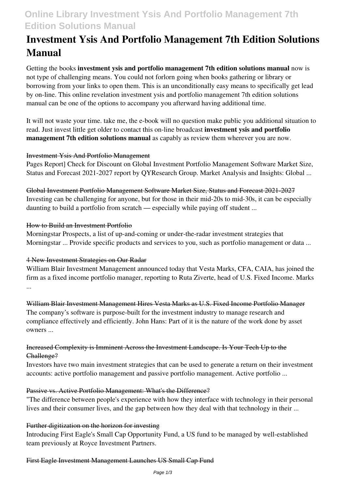# **Online Library Investment Ysis And Portfolio Management 7th Edition Solutions Manual**

# **Investment Ysis And Portfolio Management 7th Edition Solutions Manual**

Getting the books **investment ysis and portfolio management 7th edition solutions manual** now is not type of challenging means. You could not forlorn going when books gathering or library or borrowing from your links to open them. This is an unconditionally easy means to specifically get lead by on-line. This online revelation investment ysis and portfolio management 7th edition solutions manual can be one of the options to accompany you afterward having additional time.

It will not waste your time. take me, the e-book will no question make public you additional situation to read. Just invest little get older to contact this on-line broadcast **investment ysis and portfolio management 7th edition solutions manual** as capably as review them wherever you are now.

#### Investment Ysis And Portfolio Management

Pages Report] Check for Discount on Global Investment Portfolio Management Software Market Size, Status and Forecast 2021-2027 report by QYResearch Group. Market Analysis and Insights: Global ...

Global Investment Portfolio Management Software Market Size, Status and Forecast 2021-2027 Investing can be challenging for anyone, but for those in their mid-20s to mid-30s, it can be especially daunting to build a portfolio from scratch — especially while paying off student ...

#### How to Build an Investment Portfolio

Morningstar Prospects, a list of up-and-coming or under-the-radar investment strategies that Morningstar ... Provide specific products and services to you, such as portfolio management or data ...

#### 4 New Investment Strategies on Our Radar

William Blair Investment Management announced today that Vesta Marks, CFA, CAIA, has joined the firm as a fixed income portfolio manager, reporting to Ruta Ziverte, head of U.S. Fixed Income. Marks ...

William Blair Investment Management Hires Vesta Marks as U.S. Fixed Income Portfolio Manager The company's software is purpose-built for the investment industry to manage research and compliance effectively and efficiently. John Hans: Part of it is the nature of the work done by asset owners ...

#### Increased Complexity is Imminent Across the Investment Landscape. Is Your Tech Up to the Challenge?

Investors have two main investment strategies that can be used to generate a return on their investment accounts: active portfolio management and passive portfolio management. Active portfolio ...

#### Passive vs. Active Portfolio Management: What's the Difference?

"The difference between people's experience with how they interface with technology in their personal lives and their consumer lives, and the gap between how they deal with that technology in their ...

#### Further digitization on the horizon for investing

Introducing First Eagle's Small Cap Opportunity Fund, a US fund to be managed by well-established team previously at Royce Investment Partners.

#### First Eagle Investment Management Launches US Small Cap Fund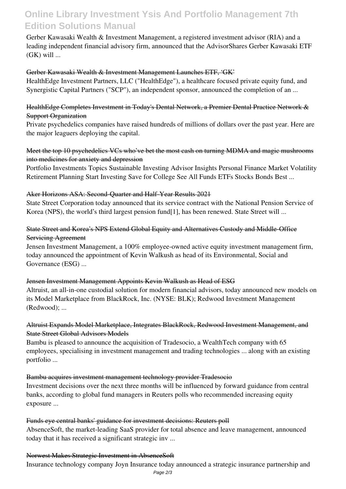## **Online Library Investment Ysis And Portfolio Management 7th Edition Solutions Manual**

Gerber Kawasaki Wealth & Investment Management, a registered investment advisor (RIA) and a leading independent financial advisory firm, announced that the AdvisorShares Gerber Kawasaki ETF  $(GK)$  will ...

#### Gerber Kawasaki Wealth & Investment Management Launches ETF, 'GK'

HealthEdge Investment Partners, LLC ("HealthEdge"), a healthcare focused private equity fund, and Synergistic Capital Partners ("SCP"), an independent sponsor, announced the completion of an ...

### HealthEdge Completes Investment in Today's Dental Network, a Premier Dental Practice Network & Support Organization

Private psychedelics companies have raised hundreds of millions of dollars over the past year. Here are the major leaguers deploying the capital.

### Meet the top 10 psychedelics VCs who've bet the most cash on turning MDMA and magic mushrooms into medicines for anxiety and depression

Portfolio Investments Topics Sustainable Investing Advisor Insights Personal Finance Market Volatility Retirement Planning Start Investing Save for College See All Funds ETFs Stocks Bonds Best ...

#### Aker Horizons ASA: Second-Quarter and Half-Year Results 2021

State Street Corporation today announced that its service contract with the National Pension Service of Korea (NPS), the world's third largest pension fund[1], has been renewed. State Street will ...

### State Street and Korea's NPS Extend Global Equity and Alternatives Custody and Middle-Office Servicing Agreement

Jensen Investment Management, a 100% employee-owned active equity investment management firm, today announced the appointment of Kevin Walkush as head of its Environmental, Social and Governance (ESG) ...

#### Jensen Investment Management Appoints Kevin Walkush as Head of ESG

Altruist, an all-in-one custodial solution for modern financial advisors, today announced new models on its Model Marketplace from BlackRock, Inc. (NYSE: BLK); Redwood Investment Management (Redwood); ...

### Altruist Expands Model Marketplace, Integrates BlackRock, Redwood Investment Management, and State Street Global Advisors Models

Bambu is pleased to announce the acquisition of Tradesocio, a WealthTech company with 65 employees, specialising in investment management and trading technologies ... along with an existing portfolio ...

#### Bambu acquires investment management technology provider Tradesocio

Investment decisions over the next three months will be influenced by forward guidance from central banks, according to global fund managers in Reuters polls who recommended increasing equity exposure ...

#### Funds eye central banks' guidance for investment decisions: Reuters poll

AbsenceSoft, the market-leading SaaS provider for total absence and leave management, announced today that it has received a significant strategic inv ...

#### Norwest Makes Strategic Investment in AbsenceSoft

Insurance technology company Joyn Insurance today announced a strategic insurance partnership and